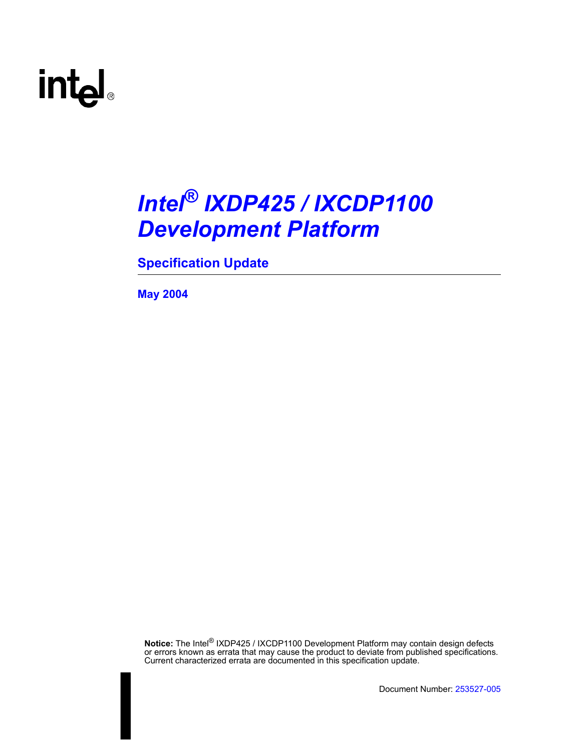#### *Intel® IXDP425 / IXCDP1100 Development Platform*

**Specification Update**

**May 2004**

**Notice:** The Intel® IXDP425 / IXCDP1100 Development Platform may contain design defects or errors known as errata that may cause the product to deviate from published specifications. Current characterized errata are documented in this specification update.

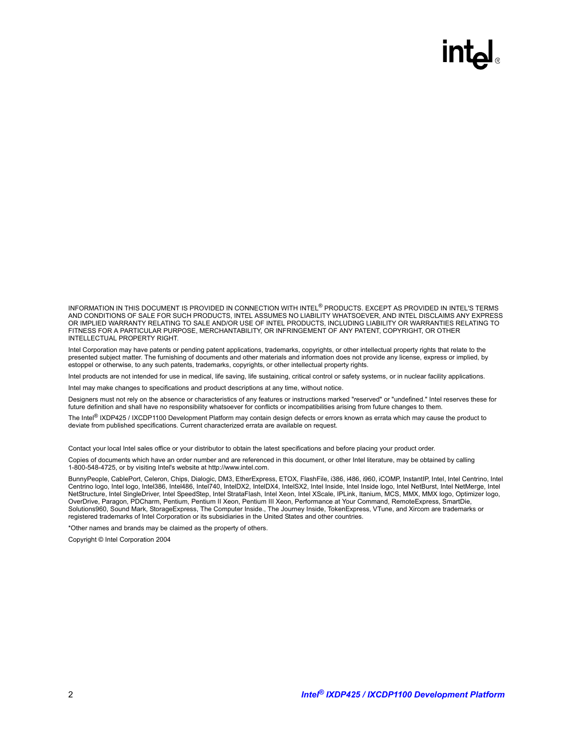INFORMATION IN THIS DOCUMENT IS PROVIDED IN CONNECTION WITH INTEL® PRODUCTS. EXCEPT AS PROVIDED IN INTEL'S TERMS AND CONDITIONS OF SALE FOR SUCH PRODUCTS, INTEL ASSUMES NO LIABILITY WHATSOEVER, AND INTEL DISCLAIMS ANY EXPRESS OR IMPLIED WARRANTY RELATING TO SALE AND/OR USE OF INTEL PRODUCTS, INCLUDING LIABILITY OR WARRANTIES RELATING TO FITNESS FOR A PARTICULAR PURPOSE, MERCHANTABILITY, OR INFRINGEMENT OF ANY PATENT, COPYRIGHT, OR OTHER INTELLECTUAL PROPERTY RIGHT.

Intel Corporation may have patents or pending patent applications, trademarks, copyrights, or other intellectual property rights that relate to the presented subject matter. The furnishing of documents and other materials and information does not provide any license, express or implied, by estoppel or otherwise, to any such patents, trademarks, copyrights, or other intellectual property rights.

Intel products are not intended for use in medical, life saving, life sustaining, critical control or safety systems, or in nuclear facility applications.

Intel may make changes to specifications and product descriptions at any time, without notice.

Designers must not rely on the absence or characteristics of any features or instructions marked "reserved" or "undefined." Intel reserves these for future definition and shall have no responsibility whatsoever for conflicts or incompatibilities arising from future changes to them.

The Intel<sup>®</sup> IXDP425 / IXCDP1100 Development Platform may contain design defects or errors known as errata which may cause the product to deviate from published specifications. Current characterized errata are available on request.

Contact your local Intel sales office or your distributor to obtain the latest specifications and before placing your product order.

Copies of documents which have an order number and are referenced in this document, or other Intel literature, may be obtained by calling 1-800-548-4725, or by visiting Intel's website at http://www.intel.com.

BunnyPeople, CablePort, Celeron, Chips, Dialogic, DM3, EtherExpress, ETOX, FlashFile, i386, i486, i960, iCOMP, InstantlP, Intel, Intel Centrino, Intel<br>Centrino logo, Intel logo, Intel386, Intel486, Intel740, IntelDX2, Inte NetStructure, Intel SingleDriver, Intel SpeedStep, Intel StrataFlash, Intel Xeon, Intel XScale, IPLink, Itanium, MCS, MMX, MMX logo, Optimizer logo, OverDrive, Paragon, PDCharm, Pentium, Pentium II Xeon, Pentium III Xeon, Performance at Your Command, RemoteExpress, SmartDie, Solutions960, Sound Mark, StorageExpress, The Computer Inside., The Journey Inside, TokenExpress, VTune, and Xircom are trademarks or registered trademarks of Intel Corporation or its subsidiaries in the United States and other countries.

\*Other names and brands may be claimed as the property of others.

Copyright © Intel Corporation 2004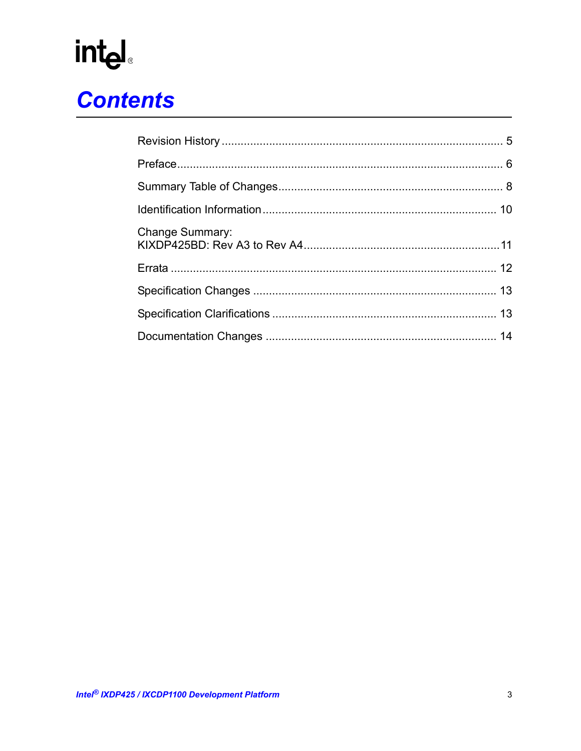# int<sub>e</sub><br>Contents

| <b>Change Summary:</b> |  |
|------------------------|--|
|                        |  |
|                        |  |
|                        |  |
|                        |  |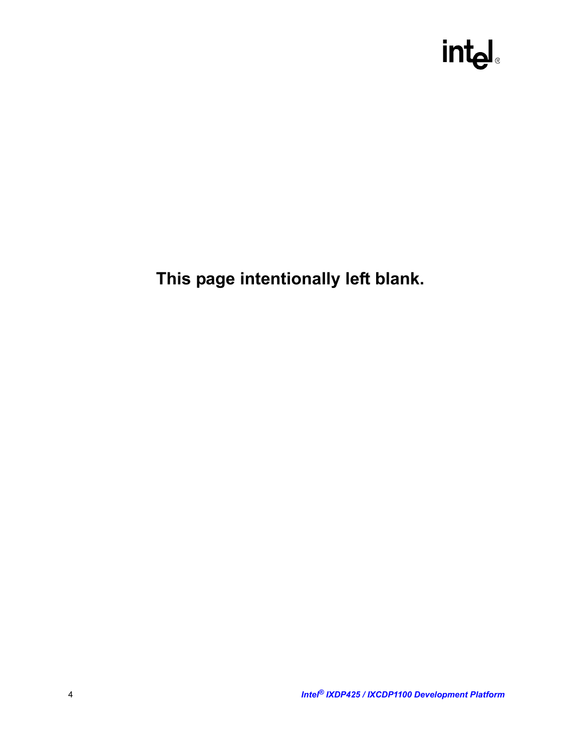**This page intentionally left blank.**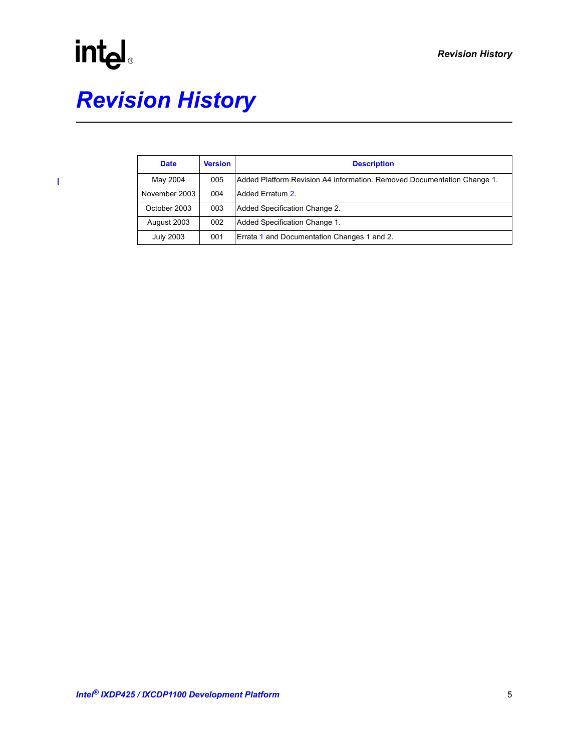### <span id="page-4-0"></span>*Revision History*

| <b>Date</b>      | <b>Version</b> | <b>Description</b>                                                      |
|------------------|----------------|-------------------------------------------------------------------------|
| May 2004         | 005            | Added Platform Revision A4 information. Removed Documentation Change 1. |
| November 2003    | 004            | Added Erratum 2.                                                        |
| October 2003     | 003            | Added Specification Change 2.                                           |
| August 2003      | 002            | Added Specification Change 1.                                           |
| <b>July 2003</b> | 001            | Errata 1 and Documentation Changes 1 and 2.                             |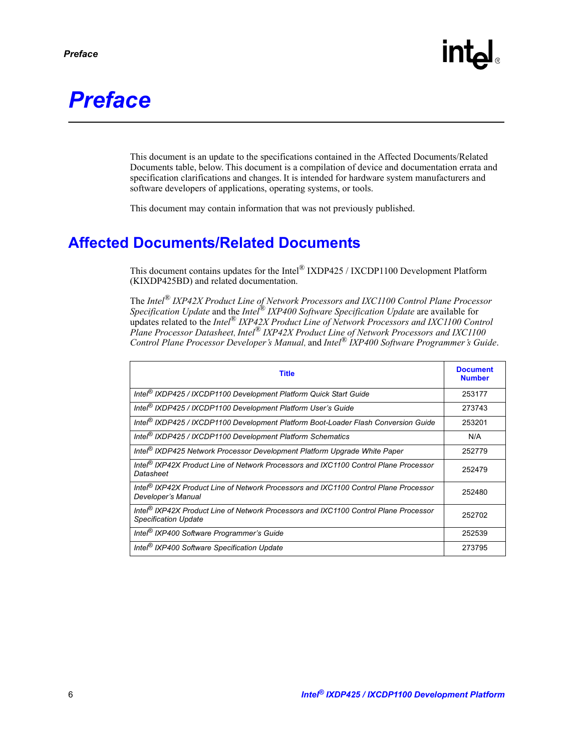

#### <span id="page-5-0"></span>*Preface*

This document is an update to the specifications contained in the Affected Documents/Related Documents table, below. This document is a compilation of device and documentation errata and specification clarifications and changes. It is intended for hardware system manufacturers and software developers of applications, operating systems, or tools.

This document may contain information that was not previously published.

#### **Affected Documents/Related Documents**

This document contains updates for the Intel® IXDP425 / IXCDP1100 Development Platform (KIXDP425BD) and related documentation.

The *Intel® IXP42X Product Line of Network Processors and IXC1100 Control Plane Processor Specification Update* and the *Intel® IXP400 Software Specification Update* are available for updates related to the *Intel® IXP42X Product Line of Network Processors and IXC1100 Control Plane Processor Datasheet*, *Intel® IXP42X Product Line of Network Processors and IXC1100 Control Plane Processor Developer's Manual*, and *Intel® IXP400 Software Programmer's Guide*.

| Title                                                                                                               | <b>Document</b><br><b>Number</b> |
|---------------------------------------------------------------------------------------------------------------------|----------------------------------|
| Intel <sup>®</sup> IXDP425 / IXCDP1100 Development Platform Quick Start Guide                                       | 253177                           |
| Intel <sup>®</sup> IXDP425 / IXCDP1100 Development Platform User's Guide                                            | 273743                           |
| Intel <sup>®</sup> IXDP425 / IXCDP1100 Development Platform Boot-Loader Flash Conversion Guide                      | 253201                           |
| Intel <sup>®</sup> IXDP425 / IXCDP1100 Development Platform Schematics                                              | N/A                              |
| Intel <sup>®</sup> IXDP425 Network Processor Development Platform Upgrade White Paper                               | 252779                           |
| Intel® IXP42X Product Line of Network Processors and IXC1100 Control Plane Processor<br>Datasheet                   | 252479                           |
| Intel® IXP42X Product Line of Network Processors and IXC1100 Control Plane Processor<br>Developer's Manual          | 252480                           |
| Intel® IXP42X Product Line of Network Processors and IXC1100 Control Plane Processor<br><b>Specification Update</b> | 252702                           |
| Intel <sup>®</sup> IXP400 Software Programmer's Guide                                                               | 252539                           |
| Intel <sup>®</sup> IXP400 Software Specification Update                                                             | 273795                           |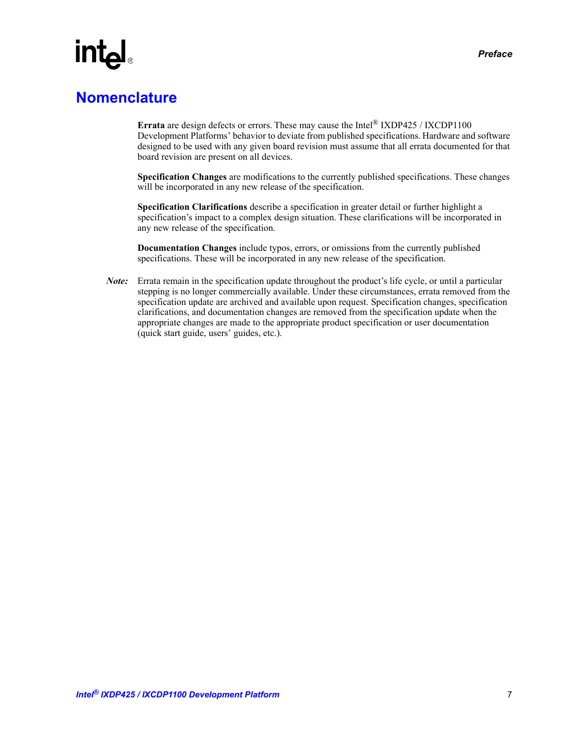#### **Nomenclature**

**Errata** are design defects or errors. These may cause the Intel® IXDP425 / IXCDP1100 Development Platforms' behavior to deviate from published specifications. Hardware and software designed to be used with any given board revision must assume that all errata documented for that board revision are present on all devices.

**Specification Changes** are modifications to the currently published specifications. These changes will be incorporated in any new release of the specification.

**Specification Clarifications** describe a specification in greater detail or further highlight a specification's impact to a complex design situation. These clarifications will be incorporated in any new release of the specification.

**Documentation Changes** include typos, errors, or omissions from the currently published specifications. These will be incorporated in any new release of the specification.

*Note:* Errata remain in the specification update throughout the product's life cycle, or until a particular stepping is no longer commercially available. Under these circumstances, errata removed from the specification update are archived and available upon request. Specification changes, specification clarifications, and documentation changes are removed from the specification update when the appropriate changes are made to the appropriate product specification or user documentation (quick start guide, users' guides, etc.).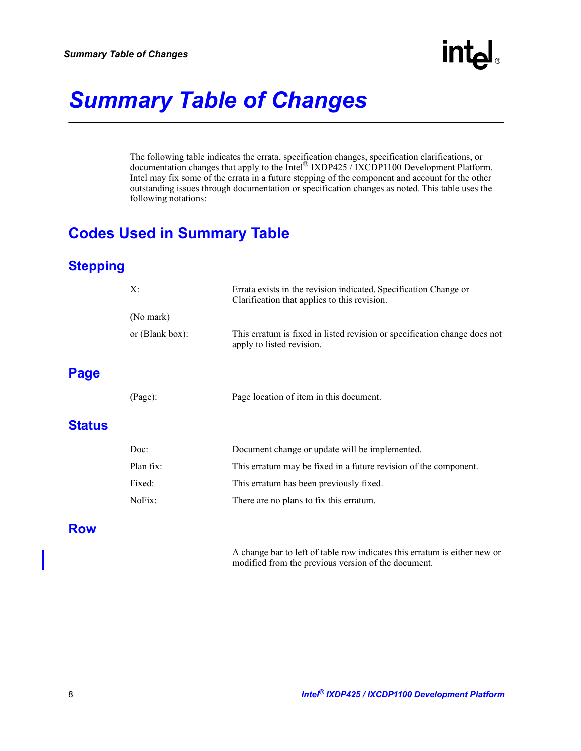

#### <span id="page-7-0"></span>*Summary Table of Changes*

The following table indicates the errata, specification changes, specification clarifications, or documentation changes that apply to the Intel® IXDP425 / IXCDP1100 Development Platform. Intel may fix some of the errata in a future stepping of the component and account for the other outstanding issues through documentation or specification changes as noted. This table uses the following notations:

#### **Codes Used in Summary Table**

#### **Stepping**

| $X$ :           | Errata exists in the revision indicated. Specification Change or<br>Clarification that applies to this revision. |
|-----------------|------------------------------------------------------------------------------------------------------------------|
| (No mark)       |                                                                                                                  |
| or (Blank box): | This erratum is fixed in listed revision or specification change does not<br>apply to listed revision.           |
| (Page):         | Page location of item in this document.                                                                          |
| Doc:            | Document change or update will be implemented.                                                                   |
| Plan fix:       | This erratum may be fixed in a future revision of the component.                                                 |
| Fixed:          | This erratum has been previously fixed.                                                                          |
| NoFix:          | There are no plans to fix this erratum.                                                                          |
|                 |                                                                                                                  |

#### **Row**

**Page**

**Status**

A change bar to left of table row indicates this erratum is either new or modified from the previous version of the document.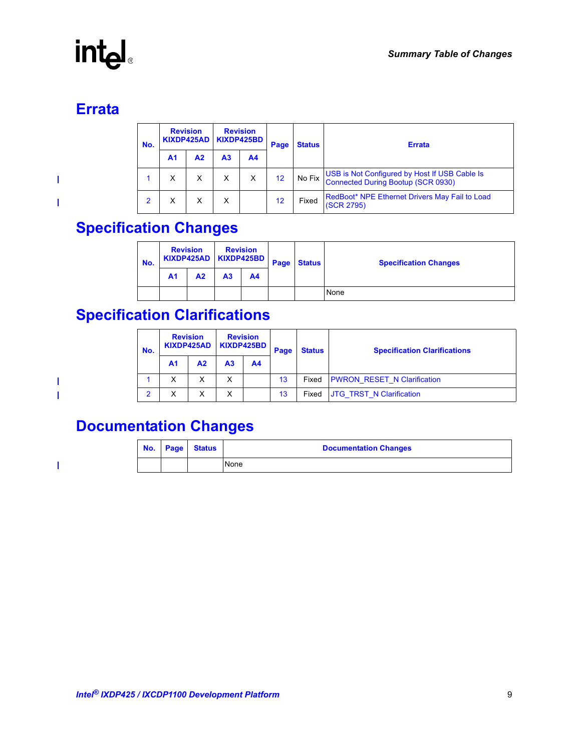

#### **Errata**

 $\overline{1}$ 

 $\mathbf{I}$ 

 $\mathbf{I}$  $\mathbf{I}$ 

 $\mathbf{I}$ 

| No. | <b>Revision</b><br>KIXDP425AD |    | <b>Revision</b><br>KIXDP425BD<br><b>Status</b><br>Page |    |                                                                             |  |                                                                                     | <b>Errata</b> |
|-----|-------------------------------|----|--------------------------------------------------------|----|-----------------------------------------------------------------------------|--|-------------------------------------------------------------------------------------|---------------|
|     | A <sub>1</sub>                | A2 | A <sub>3</sub>                                         | Α4 |                                                                             |  |                                                                                     |               |
|     | X                             | x  | X                                                      | X  | No Fix<br>12 <sup>2</sup>                                                   |  | USB is Not Configured by Host If USB Cable Is<br>Connected During Bootup (SCR 0930) |               |
| 2   | х                             | x  | x                                                      |    | RedBoot* NPE Ethernet Drivers May Fail to Load<br>12<br>Fixed<br>(SCR 2795) |  |                                                                                     |               |

#### **Specification Changes**

| No. | <b>Revision</b><br>KIXDP425AD KIXDP425BD |    | <b>Revision</b> |    | Page | <b>Status</b> | <b>Specification Changes</b> |
|-----|------------------------------------------|----|-----------------|----|------|---------------|------------------------------|
|     | A1                                       | A2 | A <sub>3</sub>  | AA |      |               |                              |
|     |                                          |    |                 |    |      |               | None                         |

#### **Specification Clarifications**

| No. | <b>Revision</b><br>KIXDP425AD |    | <b>Revision</b><br>KIXDP425BD |  | <b>Status</b><br>Page                             |       | <b>Specification Clarifications</b> |
|-----|-------------------------------|----|-------------------------------|--|---------------------------------------------------|-------|-------------------------------------|
|     | A1                            | A2 | A <sub>3</sub><br>A4          |  |                                                   |       |                                     |
|     | x                             | x  | X                             |  | <b>PWRON RESET N Clarification</b><br>13<br>Fixed |       |                                     |
| 2   | x                             | x  | X                             |  | 13                                                | Fixed | <b>JTG TRST N Clarification</b>     |

#### **Documentation Changes**

|  | No. Page Status | <b>Documentation Changes</b> |
|--|-----------------|------------------------------|
|  |                 | None                         |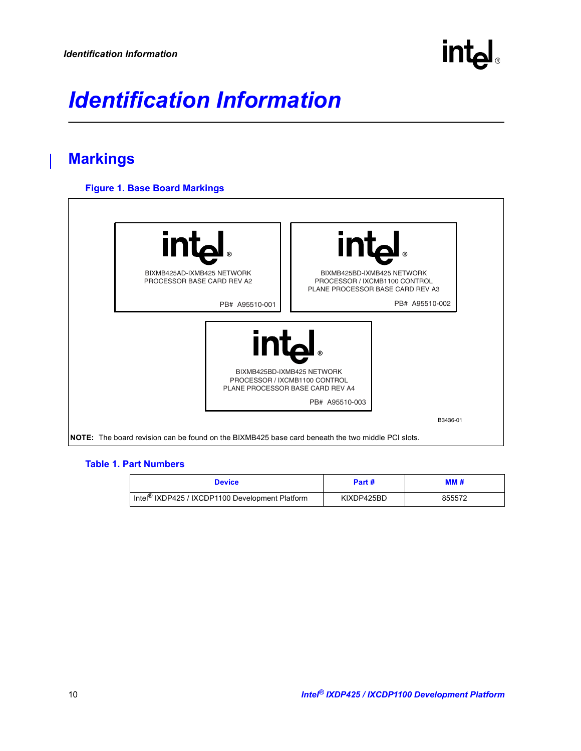### $In^{\prime}$

### <span id="page-9-0"></span>*Identification Information*

#### **Markings**

#### **Figure 1. Base Board Markings**



#### **Table 1. Part Numbers**

| <b>Device</b>                                               | Part #     | <b>MM#</b> |
|-------------------------------------------------------------|------------|------------|
| Intel <sup>®</sup> IXDP425 / IXCDP1100 Development Platform | KIXDP425BD | 855572     |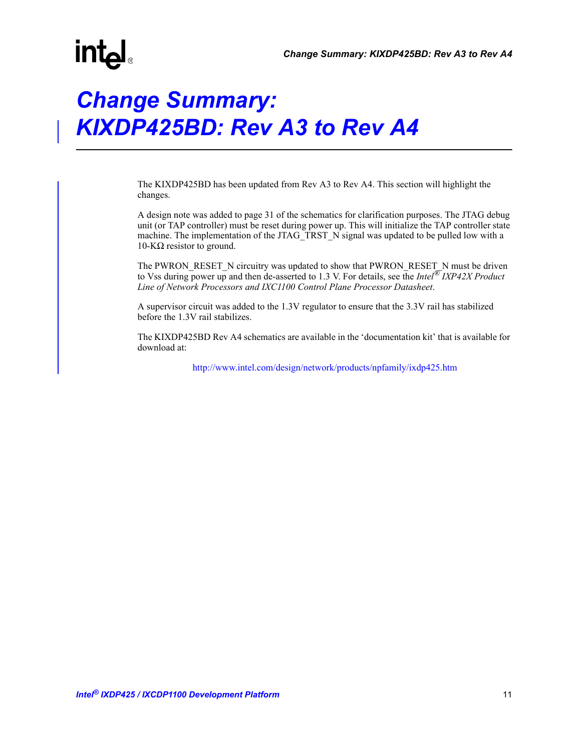#### <span id="page-10-0"></span>*Change Summary: KIXDP425BD: Rev A3 to Rev A4*

The KIXDP425BD has been updated from Rev A3 to Rev A4. This section will highlight the changes.

A design note was added to page 31 of the schematics for clarification purposes. The JTAG debug unit (or TAP controller) must be reset during power up. This will initialize the TAP controller state machine. The implementation of the JTAG\_TRST\_N signal was updated to be pulled low with a  $10-KΩ$  resistor to ground.

The PWRON\_RESET\_N circuitry was updated to show that PWRON\_RESET\_N must be driven to Vss during power up and then de-asserted to 1.3 V. For details, see the *Intel® IXP42X Product Line of Network Processors and IXC1100 Control Plane Processor Datasheet*.

A supervisor circuit was added to the 1.3V regulator to ensure that the 3.3V rail has stabilized before the 1.3V rail stabilizes.

The KIXDP425BD Rev A4 schematics are available in the 'documentation kit' that is available for download at:

<http://www.intel.com/design/network/products/npfamily/ixdp425.htm>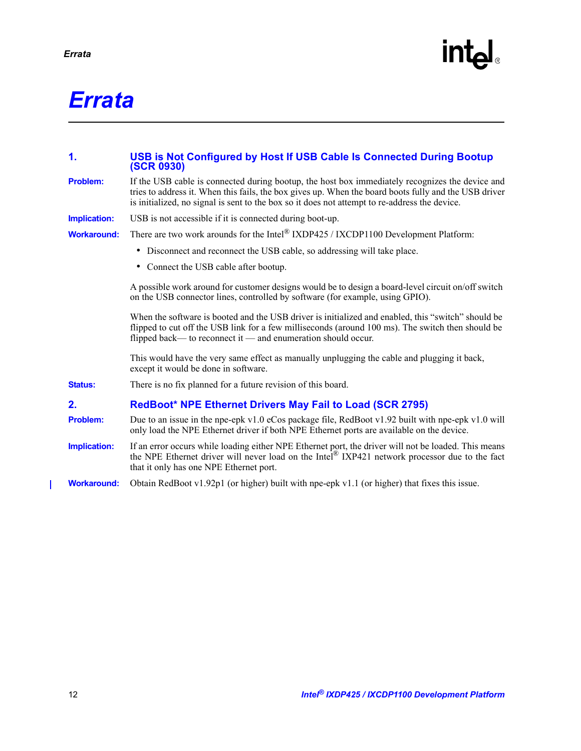

#### <span id="page-11-2"></span><span id="page-11-0"></span>*Errata*

<span id="page-11-1"></span>

| $\mathbf{1}$ .      | USB is Not Configured by Host If USB Cable Is Connected During Bootup<br>(SCR 0930)                                                                                                                                                                                                                       |
|---------------------|-----------------------------------------------------------------------------------------------------------------------------------------------------------------------------------------------------------------------------------------------------------------------------------------------------------|
| <b>Problem:</b>     | If the USB cable is connected during bootup, the host box immediately recognizes the device and<br>tries to address it. When this fails, the box gives up. When the board boots fully and the USB driver<br>is initialized, no signal is sent to the box so it does not attempt to re-address the device. |
| Implication:        | USB is not accessible if it is connected during boot-up.                                                                                                                                                                                                                                                  |
| <b>Workaround:</b>  | There are two work arounds for the Intel® IXDP425 / IXCDP1100 Development Platform:                                                                                                                                                                                                                       |
|                     | • Disconnect and reconnect the USB cable, so addressing will take place.                                                                                                                                                                                                                                  |
|                     | • Connect the USB cable after bootup.                                                                                                                                                                                                                                                                     |
|                     | A possible work around for customer designs would be to design a board-level circuit on/off switch<br>on the USB connector lines, controlled by software (for example, using GPIO).                                                                                                                       |
|                     | When the software is booted and the USB driver is initialized and enabled, this "switch" should be<br>flipped to cut off the USB link for a few milliseconds (around 100 ms). The switch then should be<br>flipped back— to reconnect it — and enumeration should occur.                                  |
|                     | This would have the very same effect as manually unplugging the cable and plugging it back,<br>except it would be done in software.                                                                                                                                                                       |
| <b>Status:</b>      | There is no fix planned for a future revision of this board.                                                                                                                                                                                                                                              |
| 2.                  | RedBoot* NPE Ethernet Drivers May Fail to Load (SCR 2795)                                                                                                                                                                                                                                                 |
| Problem:            | Due to an issue in the npe-epk v1.0 eCos package file, RedBoot v1.92 built with npe-epk v1.0 will<br>only load the NPE Ethernet driver if both NPE Ethernet ports are available on the device.                                                                                                            |
| <b>Implication:</b> | If an error occurs while loading either NPE Ethernet port, the driver will not be loaded. This means<br>the NPE Ethernet driver will never load on the Intel <sup>®</sup> IXP421 network processor due to the fact<br>that it only has one NPE Ethernet port.                                             |
| <b>Workaround:</b>  | Obtain RedBoot $v1.92p1$ (or higher) built with npe-epk $v1.1$ (or higher) that fixes this issue.                                                                                                                                                                                                         |

 $\mathbf{I}$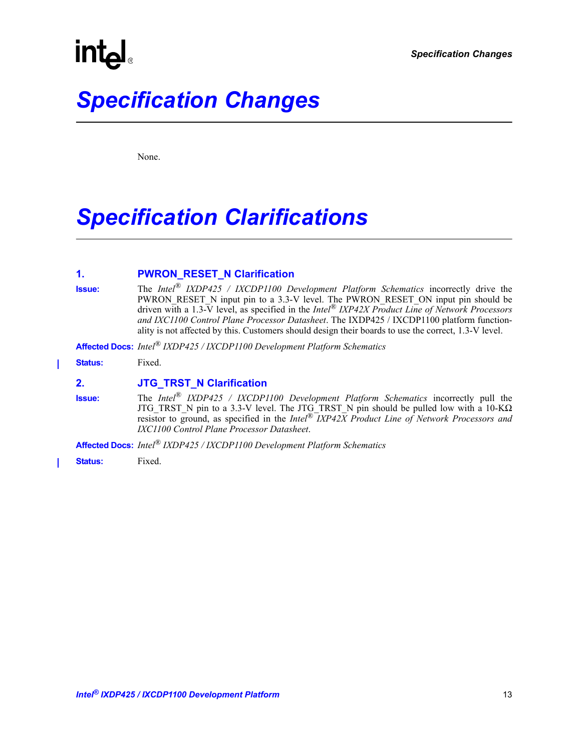### **intal**

## <span id="page-12-0"></span>*Specification Changes*

None.

#### <span id="page-12-1"></span>*Specification Clarifications*

#### <span id="page-12-2"></span>**1. PWRON\_RESET\_N Clarification**

**Issue:** The *Intel® IXDP425 / IXCDP1100 Development Platform Schematics* incorrectly drive the PWRON\_RESET\_N input pin to a 3.3-V level. The PWRON\_RESET\_ON input pin should be driven with a 1.3-V level, as specified in the *Intel® IXP42X Product Line of Network Processors and IXC1100 Control Plane Processor Datasheet*. The IXDP425 / IXCDP1100 platform functionality is not affected by this. Customers should design their boards to use the correct, 1.3-V level.

**Affected Docs:** *Intel® IXDP425 / IXCDP1100 Development Platform Schematics*

**Status:** Fixed.

 $\mathbf I$ 

#### <span id="page-12-3"></span>**2. JTG\_TRST\_N Clarification**

**Issue:** The *Intel® IXDP425 / IXCDP1100 Development Platform Schematics* incorrectly pull the JTG\_TRST\_N pin to a 3.3-V level. The JTG\_TRST\_N pin should be pulled low with a 10-KΩ resistor to ground, as specified in the *Intel*<sup>®</sup> *IXP42X Product Line of Network Processors and IXC1100 Control Plane Processor Datasheet*.

**Affected Docs:** *Intel® IXDP425 / IXCDP1100 Development Platform Schematics*

**Status:** Fixed.